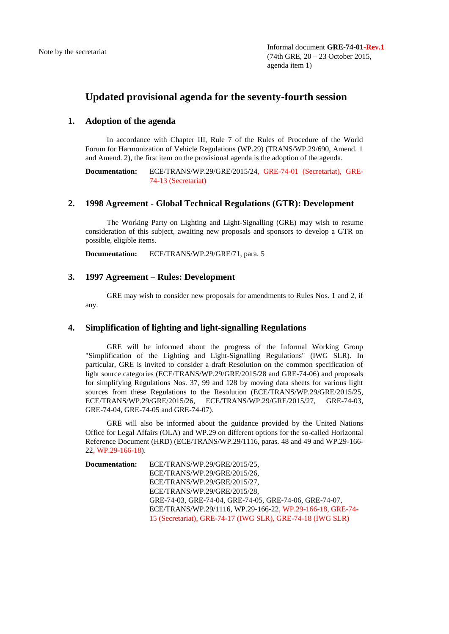# **Updated provisional agenda for the seventy-fourth session**

## **1. Adoption of the agenda**

In accordance with Chapter III, Rule 7 of the Rules of Procedure of the World Forum for Harmonization of Vehicle Regulations (WP.29) (TRANS/WP.29/690, Amend. 1 and Amend. 2), the first item on the provisional agenda is the adoption of the agenda.

**Documentation:** ECE/TRANS/WP.29/GRE/2015/24, GRE-74-01 (Secretariat), GRE-74-13 (Secretariat)

## **2. 1998 Agreement - Global Technical Regulations (GTR): Development**

The Working Party on Lighting and Light-Signalling (GRE) may wish to resume consideration of this subject, awaiting new proposals and sponsors to develop a GTR on possible, eligible items.

**Documentation:** ECE/TRANS/WP.29/GRE/71, para. 5

## **3. 1997 Agreement – Rules: Development**

GRE may wish to consider new proposals for amendments to Rules Nos. 1 and 2, if any.

## **4. Simplification of lighting and light-signalling Regulations**

GRE will be informed about the progress of the Informal Working Group "Simplification of the Lighting and Light-Signalling Regulations" (IWG SLR). In particular, GRE is invited to consider a draft Resolution on the common specification of light source categories (ECE/TRANS/WP.29/GRE/2015/28 and GRE-74-06) and proposals for simplifying Regulations Nos. 37, 99 and 128 by moving data sheets for various light sources from these Regulations to the Resolution (ECE/TRANS/WP.29/GRE/2015/25, ECE/TRANS/WP.29/GRE/2015/26, ECE/TRANS/WP.29/GRE/2015/27, GRE-74-03, GRE-74-04, GRE-74-05 and GRE-74-07).

GRE will also be informed about the guidance provided by the United Nations Office for Legal Affairs (OLA) and WP.29 on different options for the so-called Horizontal Reference Document (HRD) (ECE/TRANS/WP.29/1116, paras. 48 and 49 and WP.29-166- 22, WP.29-166-18).

**Documentation:** ECE/TRANS/WP.29/GRE/2015/25, ECE/TRANS/WP.29/GRE/2015/26, ECE/TRANS/WP.29/GRE/2015/27, ECE/TRANS/WP.29/GRE/2015/28, GRE-74-03, GRE-74-04, GRE-74-05, GRE-74-06, GRE-74-07, ECE/TRANS/WP.29/1116, WP.29-166-22, WP.29-166-18, GRE-74- 15 (Secretariat), GRE-74-17 (IWG SLR), GRE-74-18 (IWG SLR)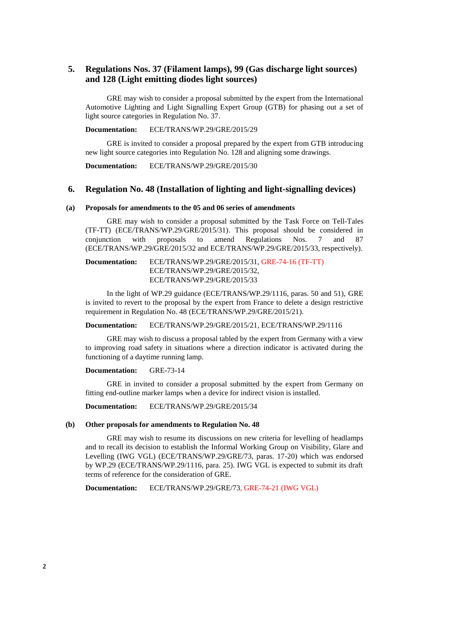## **5. Regulations Nos. 37 (Filament lamps), 99 (Gas discharge light sources) and 128 (Light emitting diodes light sources)**

GRE may wish to consider a proposal submitted by the expert from the International Automotive Lighting and Light Signalling Expert Group (GTB) for phasing out a set of light source categories in Regulation No. 37.

#### **Documentation:** ECE/TRANS/WP.29/GRE/2015/29

GRE is invited to consider a proposal prepared by the expert from GTB introducing new light source categories into Regulation No. 128 and aligning some drawings.

**Documentation:** ECE/TRANS/WP.29/GRE/2015/30

### **6. Regulation No. 48 (Installation of lighting and light-signalling devices)**

#### **(a) Proposals for amendments to the 05 and 06 series of amendments**

GRE may wish to consider a proposal submitted by the Task Force on Tell-Tales (TF-TT) (ECE/TRANS/WP.29/GRE/2015/31). This proposal should be considered in conjunction with proposals to amend Regulations Nos. 7 and 87 (ECE/TRANS/WP.29/GRE/2015/32 and ECE/TRANS/WP.29/GRE/2015/33, respectively).

### **Documentation:** ECE/TRANS/WP.29/GRE/2015/31, GRE-74-16 (TF-TT) ECE/TRANS/WP.29/GRE/2015/32, ECE/TRANS/WP.29/GRE/2015/33

In the light of WP.29 guidance (ECE/TRANS/WP.29/1116, paras. 50 and 51), GRE is invited to revert to the proposal by the expert from France to delete a design restrictive requirement in Regulation No. 48 (ECE/TRANS/WP.29/GRE/2015/21).

#### **Documentation:** ECE/TRANS/WP.29/GRE/2015/21, ECE/TRANS/WP.29/1116

GRE may wish to discuss a proposal tabled by the expert from Germany with a view to improving road safety in situations where a direction indicator is activated during the functioning of a daytime running lamp.

#### **Documentation:** GRE-73-14

GRE in invited to consider a proposal submitted by the expert from Germany on fitting end-outline marker lamps when a device for indirect vision is installed.

**Documentation:** ECE/TRANS/WP.29/GRE/2015/34

#### **(b) Other proposals for amendments to Regulation No. 48**

GRE may wish to resume its discussions on new criteria for levelling of headlamps and to recall its decision to establish the Informal Working Group on Visibility, Glare and Levelling (IWG VGL) (ECE/TRANS/WP.29/GRE/73, paras. 17-20) which was endorsed by WP.29 (ECE/TRANS/WP.29/1116, para. 25). IWG VGL is expected to submit its draft terms of reference for the consideration of GRE.

**Documentation:** ECE/TRANS/WP.29/GRE/73, GRE-74-21 (IWG VGL)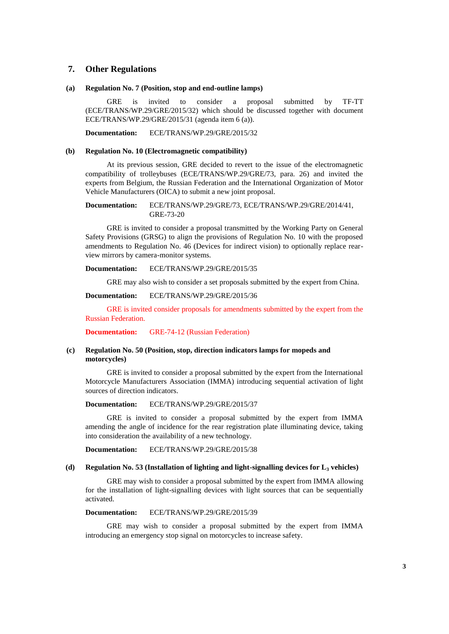### **7. Other Regulations**

#### **(a) Regulation No. 7 (Position, stop and end-outline lamps)**

GRE is invited to consider a proposal submitted by TF-TT (ECE/TRANS/WP.29/GRE/2015/32) which should be discussed together with document ECE/TRANS/WP.29/GRE/2015/31 (agenda item 6 (a)).

**Documentation:** ECE/TRANS/WP.29/GRE/2015/32

#### **(b) Regulation No. 10 (Electromagnetic compatibility)**

At its previous session, GRE decided to revert to the issue of the electromagnetic compatibility of trolleybuses (ECE/TRANS/WP.29/GRE/73, para. 26) and invited the experts from Belgium, the Russian Federation and the International Organization of Motor Vehicle Manufacturers (OICA) to submit a new joint proposal.

**Documentation:** ECE/TRANS/WP.29/GRE/73, ECE/TRANS/WP.29/GRE/2014/41, GRE-73-20

GRE is invited to consider a proposal transmitted by the Working Party on General Safety Provisions (GRSG) to align the provisions of Regulation No. 10 with the proposed amendments to Regulation No. 46 (Devices for indirect vision) to optionally replace rearview mirrors by camera-monitor systems.

#### **Documentation:** ECE/TRANS/WP.29/GRE/2015/35

GRE may also wish to consider a set proposals submitted by the expert from China.

#### **Documentation:** ECE/TRANS/WP.29/GRE/2015/36

GRE is invited consider proposals for amendments submitted by the expert from the Russian Federation.

**Documentation:** GRE-74-12 (Russian Federation)

### **(c) Regulation No. 50 (Position, stop, direction indicators lamps for mopeds and motorcycles)**

GRE is invited to consider a proposal submitted by the expert from the International Motorcycle Manufacturers Association (IMMA) introducing sequential activation of light sources of direction indicators.

### **Documentation:** ECE/TRANS/WP.29/GRE/2015/37

GRE is invited to consider a proposal submitted by the expert from IMMA amending the angle of incidence for the rear registration plate illuminating device, taking into consideration the availability of a new technology.

**Documentation:** ECE/TRANS/WP.29/GRE/2015/38

### **(d) Regulation No. 53 (Installation of lighting and light-signalling devices for L<sup>3</sup> vehicles)**

GRE may wish to consider a proposal submitted by the expert from IMMA allowing for the installation of light-signalling devices with light sources that can be sequentially activated.

#### **Documentation:** ECE/TRANS/WP.29/GRE/2015/39

GRE may wish to consider a proposal submitted by the expert from IMMA introducing an emergency stop signal on motorcycles to increase safety.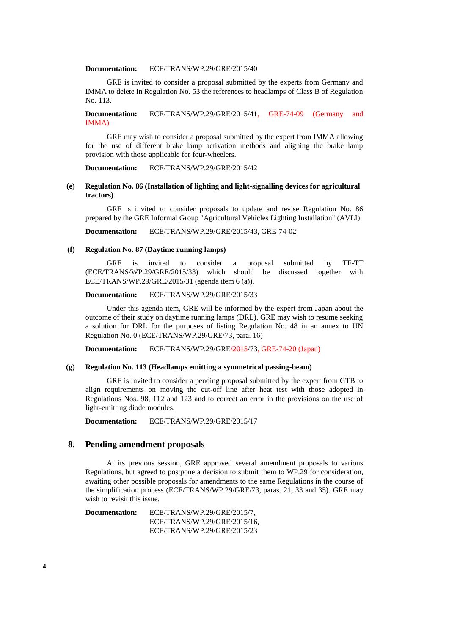#### **Documentation:** ECE/TRANS/WP.29/GRE/2015/40

GRE is invited to consider a proposal submitted by the experts from Germany and IMMA to delete in Regulation No. 53 the references to headlamps of Class B of Regulation No. 113.

### **Documentation:** ECE/TRANS/WP.29/GRE/2015/41, GRE-74-09 (Germany and IMMA)

GRE may wish to consider a proposal submitted by the expert from IMMA allowing for the use of different brake lamp activation methods and aligning the brake lamp provision with those applicable for four-wheelers.

**Documentation:** ECE/TRANS/WP.29/GRE/2015/42

### **(e) Regulation No. 86 (Installation of lighting and light-signalling devices for agricultural tractors)**

GRE is invited to consider proposals to update and revise Regulation No. 86 prepared by the GRE Informal Group "Agricultural Vehicles Lighting Installation" (AVLI).

**Documentation:** ECE/TRANS/WP.29/GRE/2015/43, GRE-74-02

#### **(f) Regulation No. 87 (Daytime running lamps)**

GRE is invited to consider a proposal submitted by TF-TT (ECE/TRANS/WP.29/GRE/2015/33) which should be discussed together with ECE/TRANS/WP.29/GRE/2015/31 (agenda item 6 (a)).

### **Documentation:** ECE/TRANS/WP.29/GRE/2015/33

Under this agenda item, GRE will be informed by the expert from Japan about the outcome of their study on daytime running lamps (DRL). GRE may wish to resume seeking a solution for DRL for the purposes of listing Regulation No. 48 in an annex to UN Regulation No. 0 (ECE/TRANS/WP.29/GRE/73, para. 16)

**Documentation:** ECE/TRANS/WP.29/GRE/2015/73, GRE-74-20 (Japan)

## **(g) Regulation No. 113 (Headlamps emitting a symmetrical passing-beam)**

GRE is invited to consider a pending proposal submitted by the expert from GTB to align requirements on moving the cut-off line after heat test with those adopted in Regulations Nos. 98, 112 and 123 and to correct an error in the provisions on the use of light-emitting diode modules.

**Documentation:** ECE/TRANS/WP.29/GRE/2015/17

### **8. Pending amendment proposals**

At its previous session, GRE approved several amendment proposals to various Regulations, but agreed to postpone a decision to submit them to WP.29 for consideration, awaiting other possible proposals for amendments to the same Regulations in the course of the simplification process (ECE/TRANS/WP.29/GRE/73, paras. 21, 33 and 35). GRE may wish to revisit this issue.

**Documentation:** ECE/TRANS/WP.29/GRE/2015/7, ECE/TRANS/WP.29/GRE/2015/16, ECE/TRANS/WP.29/GRE/2015/23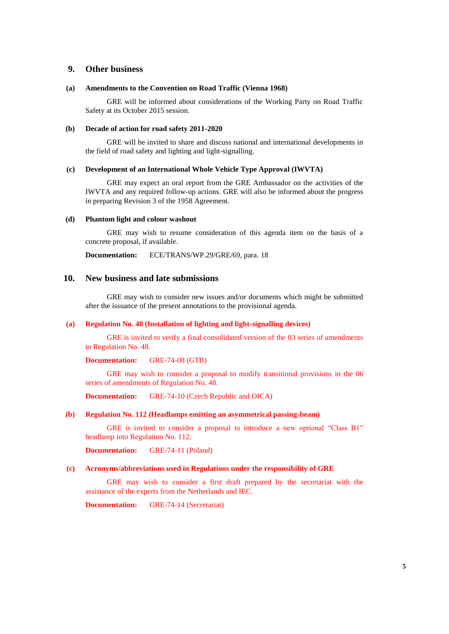### **9. Other business**

### **(a) Amendments to the Convention on Road Traffic (Vienna 1968)**

GRE will be informed about considerations of the Working Party on Road Traffic Safety at its October 2015 session.

#### **(b) Decade of action for road safety 2011-2020**

GRE will be invited to share and discuss national and international developments in the field of road safety and lighting and light-signalling.

### **(c) Development of an International Whole Vehicle Type Approval (IWVTA)**

GRE may expect an oral report from the GRE Ambassador on the activities of the IWVTA and any required follow-up actions. GRE will also be informed about the progress in preparing Revision 3 of the 1958 Agreement.

### **(d) Phantom light and colour washout**

GRE may wish to resume consideration of this agenda item on the basis of a concrete proposal, if available.

**Documentation:** ECE/TRANS/WP.29/GRE/69, para. 18

## **10. New business and late submissions**

GRE may wish to consider new issues and/or documents which might be submitted after the issuance of the present annotations to the provisional agenda.

### **(a) Regulation No. 48 (Installation of lighting and light-signalling devices)**

GRE is invited to verify a final consolidated version of the 03 series of amendments to Regulation No. 48.

**Documentation:** GRE-74-08 (GTB)

GRE may wish to consider a proposal to modify transitional provisions in the 06 series of amendments of Regulation No. 48.

**Documentation:** GRE-74-10 (Czech Republic and OICA)

#### **(b) Regulation No. 112 (Headlamps emitting an asymmetrical passing-beam)**

GRE is invited to consider a proposal to introduce a new optional "Class B1" headlamp into Regulation No. 112.

**Documentation:** GRE-74-11 (Poland)

#### **(c) Acronyms/abbreviations used in Regulations under the responsibility of GRE**

GRE may wish to consider a first draft prepared by the secretariat with the assistance of the experts from the Netherlands and IEC.

**Documentation:** GRE-74-14 (Secretariat)